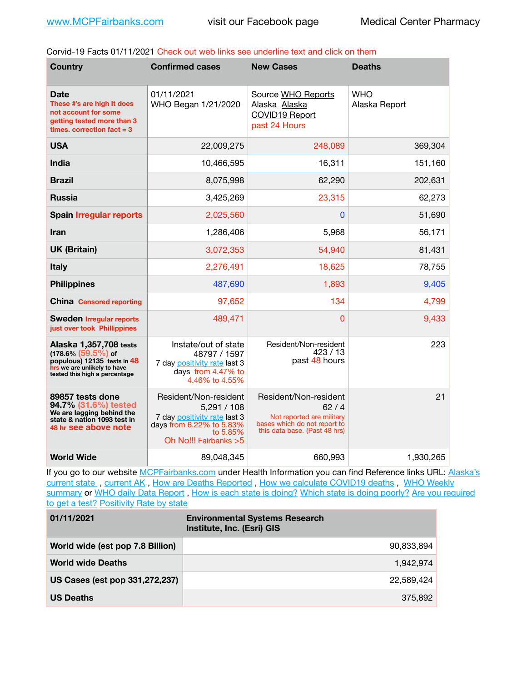Corvid-19 Facts 01/11/2021 Check out web links see underline text and click on them

| <b>Country</b>                                                                                                                                  | <b>Confirmed cases</b>                                                                                                               | <b>New Cases</b>                                                                                                            | <b>Deaths</b>               |
|-------------------------------------------------------------------------------------------------------------------------------------------------|--------------------------------------------------------------------------------------------------------------------------------------|-----------------------------------------------------------------------------------------------------------------------------|-----------------------------|
| Date<br>These #'s are high It does<br>not account for some<br>getting tested more than 3<br>times, correction fact $= 3$                        | 01/11/2021<br>WHO Began 1/21/2020                                                                                                    | Source WHO Reports<br>Alaska Alaska<br><b>COVID19 Report</b><br>past 24 Hours                                               | <b>WHO</b><br>Alaska Report |
| <b>USA</b>                                                                                                                                      | 22,009,275                                                                                                                           | 248,089                                                                                                                     | 369,304                     |
| <b>India</b>                                                                                                                                    | 10,466,595                                                                                                                           | 16,311                                                                                                                      | 151,160                     |
| <b>Brazil</b>                                                                                                                                   | 8,075,998                                                                                                                            | 62,290                                                                                                                      | 202,631                     |
| <b>Russia</b>                                                                                                                                   | 3,425,269                                                                                                                            | 23,315                                                                                                                      | 62,273                      |
| <b>Spain Irregular reports</b>                                                                                                                  | 2,025,560                                                                                                                            | $\bf{0}$                                                                                                                    | 51,690                      |
| Iran                                                                                                                                            | 1,286,406                                                                                                                            | 5,968                                                                                                                       | 56,171                      |
| <b>UK (Britain)</b>                                                                                                                             | 3,072,353                                                                                                                            | 54,940                                                                                                                      | 81,431                      |
| <b>Italy</b>                                                                                                                                    | 2,276,491                                                                                                                            | 18,625                                                                                                                      | 78,755                      |
| <b>Philippines</b>                                                                                                                              | 487,690                                                                                                                              | 1,893                                                                                                                       | 9,405                       |
| <b>China</b> Censored reporting                                                                                                                 | 97,652                                                                                                                               | 134                                                                                                                         | 4,799                       |
| <b>Sweden Irregular reports</b><br>just over took Phillippines                                                                                  | 489,471                                                                                                                              | 0                                                                                                                           | 9,433                       |
| Alaska 1,357,708 tests<br>$(178.6\%)(59.5\%)$ of<br>populous) 12135 tests in 48<br>hrs we are unlikely to have<br>tested this high a percentage | Instate/out of state<br>48797 / 1597<br>7 day positivity rate last 3<br>days from 4.47% to<br>4.46% to 4.55%                         | Resident/Non-resident<br>423/13<br>past 48 hours                                                                            | 223                         |
| 89857 tests done<br>94.7% (31.6%) tested<br>We are lagging behind the<br>state & nation 1093 test in<br>48 hr see above note                    | Resident/Non-resident<br>5,291/108<br>7 day positivity rate last 3<br>days from 6.22% to 5.83%<br>to 5.85%<br>Oh No!!! Fairbanks > 5 | Resident/Non-resident<br>62/4<br>Not reported are military<br>bases which do not report to<br>this data base. {Past 48 hrs) | 21                          |
| <b>World Wide</b>                                                                                                                               | 89,048,345                                                                                                                           | 660,993                                                                                                                     | 1,930,265                   |

If you go to our website [MCPFairbanks.com](http://www.MCPFairbanks.com) under Health Information you can find Reference links URL: Alaska's current state, current AK, [How are Deaths Reported](http://dhss.alaska.gov/dph/Epi/id/Pages/COVID-19/deathcounts.aspx), [How we calculate COVID19 deaths](https://coronavirus-response-alaska-dhss.hub.arcgis.com/search?collection=Document&groupIds=41ccb3344ebc4bd682c74073eba21f42), WHO Weekly [summary](http://www.who.int) or [WHO daily Data Report](https://covid19.who.int/table), [How is each state is doing?](https://www.msn.com/en-us/news/us/state-by-state-coronavirus-news/ar-BB13E1PX?fbclid=IwAR0_OBJH7lSyTN3ug_MsOeFnNgB1orTa9OBgilKJ7dhnwlVvHEsptuKkj1c) [Which state is doing poorly?](https://bestlifeonline.com/covid-outbreak-your-state/?utm_source=nsltr&utm_medium=email&utm_content=covid-outbreak-your-state&utm_campaign=launch) Are you required [to get a test?](http://dhss.alaska.gov/dph/Epi/id/SiteAssets/Pages/HumanCoV/Whattodoafteryourtest.pdf) [Positivity Rate by state](https://coronavirus.jhu.edu/testing/individual-states/alaska)

| 01/11/2021                       | <b>Environmental Systems Research</b><br>Institute, Inc. (Esri) GIS |
|----------------------------------|---------------------------------------------------------------------|
| World wide (est pop 7.8 Billion) | 90.833.894                                                          |
| <b>World wide Deaths</b>         | 1.942.974                                                           |
| US Cases (est pop 331,272,237)   | 22.589.424                                                          |
| <b>US Deaths</b>                 | 375.892                                                             |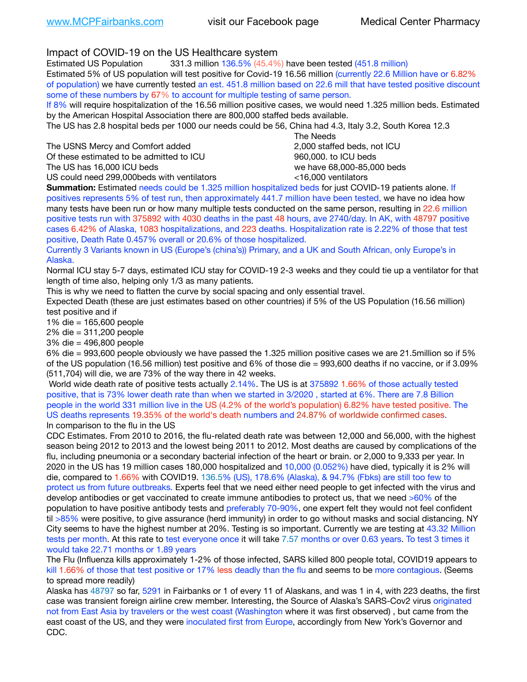Impact of COVID-19 on the US Healthcare system

Estimated US Population 331.3 million 136.5% (45.4%) have been tested (451.8 million) Estimated 5% of US population will test positive for Covid-19 16.56 million (currently 22.6 Million have or 6.82% of population) we have currently tested an est. 451.8 million based on 22.6 mill that have tested positive discount some of these numbers by 67% to account for multiple testing of same person.

If 8% will require hospitalization of the 16.56 million positive cases, we would need 1.325 million beds. Estimated by the American Hospital Association there are 800,000 staffed beds available.

The US has 2.8 hospital beds per 1000 our needs could be 56, China had 4.3, Italy 3.2, South Korea 12.3

The USNS Mercy and Comfort added 2,000 staffed beds, not ICU

Of these estimated to be admitted to ICU 860,000. to ICU beds

 The Needs The US has 16,000 ICU beds we have 68,000-85,000 beds

US could need 299,000 beds with ventilators  $\leq 16,000$  ventilators

**Summation:** Estimated needs could be 1.325 million hospitalized beds for just COVID-19 patients alone. If positives represents 5% of test run, then approximately 441.7 million have been tested, we have no idea how many tests have been run or how many multiple tests conducted on the same person, resulting in 22.6 million positive tests run with 375892 with 4030 deaths in the past 48 hours, ave 2740/day. In AK, with 48797 positive cases 6.42% of Alaska, 1083 hospitalizations, and 223 deaths. Hospitalization rate is 2.22% of those that test positive, Death Rate 0.457% overall or 20.6% of those hospitalized.

Currently 3 Variants known in US (Europe's (china's)) Primary, and a UK and South African, only Europe's in Alaska.

Normal ICU stay 5-7 days, estimated ICU stay for COVID-19 2-3 weeks and they could tie up a ventilator for that length of time also, helping only 1/3 as many patients.

This is why we need to flatten the curve by social spacing and only essential travel.

Expected Death (these are just estimates based on other countries) if 5% of the US Population (16.56 million) test positive and if

1% die = 165,600 people

2% die = 311,200 people

3% die = 496,800 people

6% die = 993,600 people obviously we have passed the 1.325 million positive cases we are 21.5million so if 5% of the US population (16.56 million) test positive and 6% of those die = 993,600 deaths if no vaccine, or if 3.09% (511,704) will die, we are 73% of the way there in 42 weeks.

 World wide death rate of positive tests actually 2.14%. The US is at 375892 1.66% of those actually tested positive, that is 73% lower death rate than when we started in 3/2020 , started at 6%. There are 7.8 Billion people in the world 331 million live in the US (4.2% of the world's population) 6.82% have tested positive. The US deaths represents 19.35% of the world's death numbers and 24.87% of worldwide confirmed cases. In comparison to the flu in the US

CDC Estimates. From 2010 to 2016, the flu-related death rate was between 12,000 and 56,000, with the highest season being 2012 to 2013 and the lowest being 2011 to 2012. Most deaths are caused by complications of the flu, including pneumonia or a secondary bacterial infection of the heart or brain. or 2,000 to 9,333 per year. In 2020 in the US has 19 million cases 180,000 hospitalized and 10,000 (0.052%) have died, typically it is 2% will die, compared to 1.66% with COVID19. 136.5% (US), 178.6% (Alaska), & 94.7% (Fbks) are still too few to protect us from future outbreaks. Experts feel that we need either need people to get infected with the virus and develop antibodies or get vaccinated to create immune antibodies to protect us, that we need >60% of the population to have positive antibody tests and preferably 70-90%, one expert felt they would not feel confident til >85% were positive, to give assurance (herd immunity) in order to go without masks and social distancing. NY City seems to have the highest number at 20%. Testing is so important. Currently we are testing at 43.32 Million tests per month. At this rate to test everyone once it will take 7.57 months or over 0.63 years. To test 3 times it would take 22.71 months or 1.89 years

The Flu (Influenza kills approximately 1-2% of those infected, SARS killed 800 people total, COVID19 appears to kill 1.66% of those that test positive or 17% less deadly than the flu and seems to be more contagious. (Seems to spread more readily)

Alaska has 48797 so far, 5291 in Fairbanks or 1 of every 11 of Alaskans, and was 1 in 4, with 223 deaths, the first case was transient foreign airline crew member. Interesting, the Source of Alaska's SARS-Cov2 virus originated not from East Asia by travelers or the west coast (Washington where it was first observed) , but came from the east coast of the US, and they were inoculated first from Europe, accordingly from New York's Governor and CDC.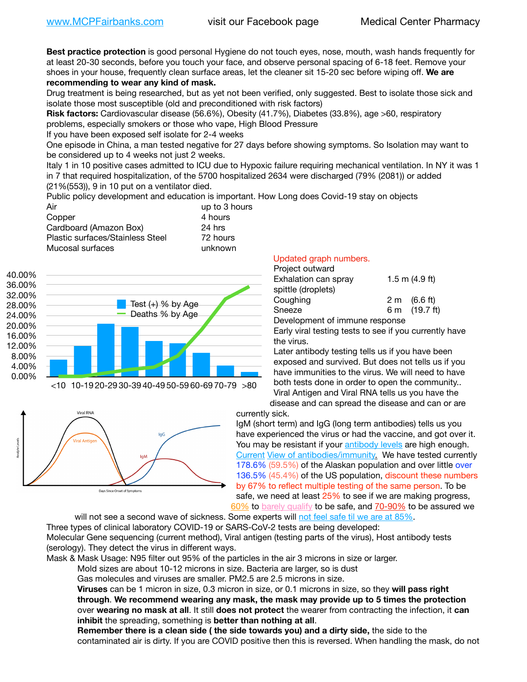**Best practice protection** is good personal Hygiene do not touch eyes, nose, mouth, wash hands frequently for at least 20-30 seconds, before you touch your face, and observe personal spacing of 6-18 feet. Remove your shoes in your house, frequently clean surface areas, let the cleaner sit 15-20 sec before wiping off. **We are recommending to wear any kind of mask.**

Drug treatment is being researched, but as yet not been verified, only suggested. Best to isolate those sick and isolate those most susceptible (old and preconditioned with risk factors)

**Risk factors:** Cardiovascular disease (56.6%), Obesity (41.7%), Diabetes (33.8%), age >60, respiratory problems, especially smokers or those who vape, High Blood Pressure

If you have been exposed self isolate for 2-4 weeks

One episode in China, a man tested negative for 27 days before showing symptoms. So Isolation may want to be considered up to 4 weeks not just 2 weeks.

Italy 1 in 10 positive cases admitted to ICU due to Hypoxic failure requiring mechanical ventilation. In NY it was 1 in 7 that required hospitalization, of the 5700 hospitalized 2634 were discharged (79% (2081)) or added (21%(553)), 9 in 10 put on a ventilator died.

Public policy development and education is important. How Long does Covid-19 stay on objects

| Air                              | up to 3 hours |
|----------------------------------|---------------|
| Copper                           | 4 hours       |
| Cardboard (Amazon Box)           | 24 hrs        |
| Plastic surfaces/Stainless Steel | 72 hours      |
| Mucosal surfaces                 | unknown       |





## Days Since Onset of Symptom:

## Updated graph numbers.

| Project outward                |                        |
|--------------------------------|------------------------|
| Exhalation can spray           | $1.5$ m $(4.9$ ft)     |
| spittle (droplets)             |                        |
| Coughing                       | $2 \text{ m}$ (6.6 ft) |
| Sneeze                         | 6 m (19.7 ft)          |
| Development of immune response |                        |

Early viral testing tests to see if you currently have the virus.

Later antibody testing tells us if you have been exposed and survived. But does not tells us if you have immunities to the virus. We will need to have both tests done in order to open the community.. Viral Antigen and Viral RNA tells us you have the disease and can spread the disease and can or are

currently sick.

IgM (short term) and IgG (long term antibodies) tells us you have experienced the virus or had the vaccine, and got over it. You may be resistant if your [antibody levels](https://www.cdc.gov/coronavirus/2019-ncov/lab/resources/antibody-tests.html) are high enough. [Current](https://l.facebook.com/l.php?u=https://www.itv.com/news/2020-10-26/covid-19-antibody-levels-reduce-over-time-study-finds?fbclid=IwAR3Dapzh1qIH1EIOdUQI2y8THf7jfA4KBCaJz8Qg-8xe1YsrR4nsAHDIXSY&h=AT30nut8pkqp0heVuz5W2rT2WFFm-2Ab52BsJxZZCNlGsX58IpPkuVEPULbIUV_M16MAukx1Kwb657DPXxsgDN1rpOQ4gqBtQsmVYiWpnHPJo2RQsU6CPMd14lgLnQnFWxfVi6zvmw&__tn__=-UK-R&c%5B0%5D=AT1GaRAfR_nGAyqcn7TI1-PpvqOqEKXHnz6TDWvRStMnOSH7boQDvTiwTOc6VId9UES6LKiOmm2m88wKCoolkJyOFvakt2Z1Mw8toYWGGoWW23r0MNVBl7cYJXB_UOvGklNHaNnaNr1_S7NhT3BSykNOBg) [View of antibodies/immunity](https://www.livescience.com/antibodies.html)[.](https://www.itv.com/news/2020-10-26/covid-19-antibody-levels-reduce-over-time-study-finds) We have tested currently 178.6% (59.5%) of the Alaskan population and over little over 136.5% (45.4%) of the US population, discount these numbers by 67% to reflect multiple testing of the same person. To be safe, we need at least 25% to see if we are making progress, [60%](https://www.jhsph.edu/covid-19/articles/achieving-herd-immunity-with-covid19.html) to [barely qualify](https://www.nature.com/articles/d41586-020-02948-4) to be safe, and [70-90%](https://www.mayoclinic.org/herd-immunity-and-coronavirus/art-20486808) to be assured we

will not see a second wave of sickness. Some experts will [not feel safe til we are at 85%.](https://www.bannerhealth.com/healthcareblog/teach-me/what-is-herd-immunity) Three types of clinical laboratory COVID-19 or SARS-CoV-2 tests are being developed: Molecular Gene sequencing (current method), Viral antigen (testing parts of the virus), Host antibody tests (serology). They detect the virus in different ways.

Mask & Mask Usage: N95 filter out 95% of the particles in the air 3 microns in size or larger.

Mold sizes are about 10-12 microns in size. Bacteria are larger, so is dust

Gas molecules and viruses are smaller. PM2.5 are 2.5 microns in size.

**Viruses** can be 1 micron in size, 0.3 micron in size, or 0.1 microns in size, so they **will pass right through**. **We recommend wearing any mask, the mask may provide up to 5 times the protection** over **wearing no mask at all**. It still **does not protect** the wearer from contracting the infection, it **can inhibit** the spreading, something is **better than nothing at all**.

**Remember there is a clean side ( the side towards you) and a dirty side,** the side to the contaminated air is dirty. If you are COVID positive then this is reversed. When handling the mask, do not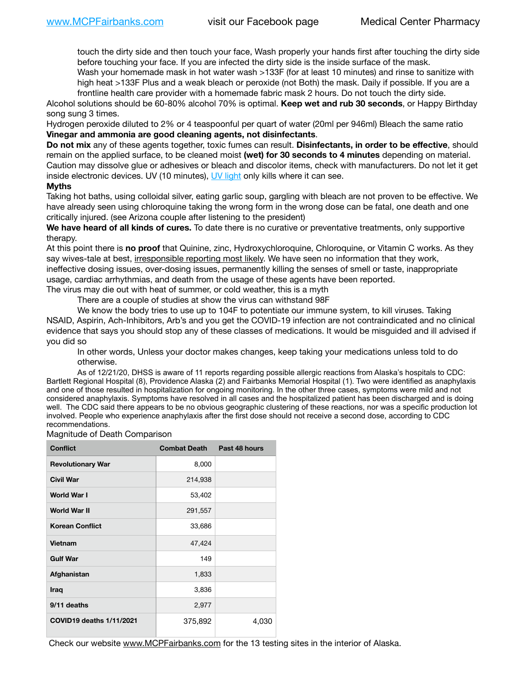touch the dirty side and then touch your face, Wash properly your hands first after touching the dirty side before touching your face. If you are infected the dirty side is the inside surface of the mask.

Wash your homemade mask in hot water wash >133F (for at least 10 minutes) and rinse to sanitize with high heat >133F Plus and a weak bleach or peroxide (not Both) the mask. Daily if possible. If you are a frontline health care provider with a homemade fabric mask 2 hours. Do not touch the dirty side.

Alcohol solutions should be 60-80% alcohol 70% is optimal. **Keep wet and rub 30 seconds**, or Happy Birthday song sung 3 times.

Hydrogen peroxide diluted to 2% or 4 teaspoonful per quart of water (20ml per 946ml) Bleach the same ratio **Vinegar and ammonia are good cleaning agents, not disinfectants**.

**Do not mix** any of these agents together, toxic fumes can result. **Disinfectants, in order to be effective**, should remain on the applied surface, to be cleaned moist **(wet) for 30 seconds to 4 minutes** depending on material. Caution may dissolve glue or adhesives or bleach and discolor items, check with manufacturers. Do not let it get inside electronic devices. UV (10 minutes), [UV light](http://www.docreviews.me/best-uv-boxes-2020/?fbclid=IwAR3bvFtXB48OoBBSvYvTEnKuHNPbipxM6jUo82QUSw9wckxjC7wwRZWabGw) only kills where it can see.

## **Myths**

Taking hot baths, using colloidal silver, eating garlic soup, gargling with bleach are not proven to be effective. We have already seen using chloroquine taking the wrong form in the wrong dose can be fatal, one death and one critically injured. (see Arizona couple after listening to the president)

**We have heard of all kinds of cures.** To date there is no curative or preventative treatments, only supportive therapy.

At this point there is **no proof** that Quinine, zinc, Hydroxychloroquine, Chloroquine, or Vitamin C works. As they say wives-tale at best, irresponsible reporting most likely. We have seen no information that they work, ineffective dosing issues, over-dosing issues, permanently killing the senses of smell or taste, inappropriate usage, cardiac arrhythmias, and death from the usage of these agents have been reported. The virus may die out with heat of summer, or cold weather, this is a myth

There are a couple of studies at show the virus can withstand 98F

We know the body tries to use up to 104F to potentiate our immune system, to kill viruses. Taking NSAID, Aspirin, Ach-Inhibitors, Arb's and you get the COVID-19 infection are not contraindicated and no clinical evidence that says you should stop any of these classes of medications. It would be misguided and ill advised if you did so

In other words, Unless your doctor makes changes, keep taking your medications unless told to do otherwise.

As of 12/21/20, DHSS is aware of 11 reports regarding possible allergic reactions from Alaska's hospitals to CDC: Bartlett Regional Hospital (8), Providence Alaska (2) and Fairbanks Memorial Hospital (1). Two were identified as anaphylaxis and one of those resulted in hospitalization for ongoing monitoring. In the other three cases, symptoms were mild and not considered anaphylaxis. Symptoms have resolved in all cases and the hospitalized patient has been discharged and is doing well. The CDC said there appears to be no obvious geographic clustering of these reactions, nor was a specific production lot involved. People who experience anaphylaxis after the first dose should not receive a second dose, according to CDC recommendations.

Magnitude of Death Comparison

| <b>Conflict</b>          | <b>Combat Death Past 48 hours</b> |       |
|--------------------------|-----------------------------------|-------|
| <b>Revolutionary War</b> | 8,000                             |       |
| <b>Civil War</b>         | 214,938                           |       |
| <b>World War I</b>       | 53,402                            |       |
| World War II             | 291,557                           |       |
| <b>Korean Conflict</b>   | 33,686                            |       |
| Vietnam                  | 47,424                            |       |
| <b>Gulf War</b>          | 149                               |       |
| Afghanistan              | 1,833                             |       |
| <b>Iraq</b>              | 3,836                             |       |
| 9/11 deaths              | 2,977                             |       |
| COVID19 deaths 1/11/2021 | 375,892                           | 4,030 |

Check our website [www.MCPFairbanks.com](http://www.MCPFairbanks.com) for the 13 testing sites in the interior of Alaska.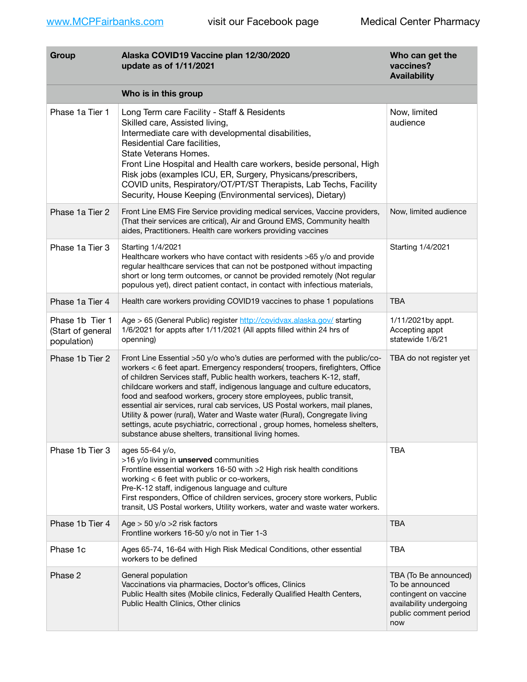| Group                                               | Alaska COVID19 Vaccine plan 12/30/2020<br>update as of 1/11/2021                                                                                                                                                                                                                                                                                                                                                                                                                                                                                                                                                                                                                           | Who can get the<br>vaccines?<br><b>Availability</b>                                                                          |
|-----------------------------------------------------|--------------------------------------------------------------------------------------------------------------------------------------------------------------------------------------------------------------------------------------------------------------------------------------------------------------------------------------------------------------------------------------------------------------------------------------------------------------------------------------------------------------------------------------------------------------------------------------------------------------------------------------------------------------------------------------------|------------------------------------------------------------------------------------------------------------------------------|
|                                                     | Who is in this group                                                                                                                                                                                                                                                                                                                                                                                                                                                                                                                                                                                                                                                                       |                                                                                                                              |
| Phase 1a Tier 1                                     | Long Term care Facility - Staff & Residents<br>Skilled care, Assisted living,<br>Intermediate care with developmental disabilities,<br>Residential Care facilities,<br>State Veterans Homes.<br>Front Line Hospital and Health care workers, beside personal, High<br>Risk jobs (examples ICU, ER, Surgery, Physicans/prescribers,<br>COVID units, Respiratory/OT/PT/ST Therapists, Lab Techs, Facility<br>Security, House Keeping (Environmental services), Dietary)                                                                                                                                                                                                                      | Now, limited<br>audience                                                                                                     |
| Phase 1a Tier 2                                     | Front Line EMS Fire Service providing medical services, Vaccine providers,<br>(That their services are critical), Air and Ground EMS, Community health<br>aides, Practitioners. Health care workers providing vaccines                                                                                                                                                                                                                                                                                                                                                                                                                                                                     | Now, limited audience                                                                                                        |
| Phase 1a Tier 3                                     | Starting 1/4/2021<br>Healthcare workers who have contact with residents >65 y/o and provide<br>regular healthcare services that can not be postponed without impacting<br>short or long term outcomes, or cannot be provided remotely (Not regular<br>populous yet), direct patient contact, in contact with infectious materials,                                                                                                                                                                                                                                                                                                                                                         | Starting 1/4/2021                                                                                                            |
| Phase 1a Tier 4                                     | Health care workers providing COVID19 vaccines to phase 1 populations                                                                                                                                                                                                                                                                                                                                                                                                                                                                                                                                                                                                                      | TBA                                                                                                                          |
| Phase 1b Tier 1<br>(Start of general<br>population) | Age > 65 (General Public) register http://covidvax.alaska.gov/ starting<br>1/6/2021 for appts after 1/11/2021 (All appts filled within 24 hrs of<br>openning)                                                                                                                                                                                                                                                                                                                                                                                                                                                                                                                              | 1/11/2021by appt.<br>Accepting appt<br>statewide 1/6/21                                                                      |
| Phase 1b Tier 2                                     | Front Line Essential >50 y/o who's duties are performed with the public/co-<br>workers < 6 feet apart. Emergency responders( troopers, firefighters, Office<br>of children Services staff, Public health workers, teachers K-12, staff,<br>childcare workers and staff, indigenous language and culture educators,<br>food and seafood workers, grocery store employees, public transit,<br>essential air services, rural cab services, US Postal workers, mail planes,<br>Utility & power (rural), Water and Waste water (Rural), Congregate living<br>settings, acute psychiatric, correctional, group homes, homeless shelters,<br>substance abuse shelters, transitional living homes. | TBA do not register yet                                                                                                      |
| Phase 1b Tier 3                                     | ages 55-64 y/o,<br>>16 y/o living in unserved communities<br>Frontline essential workers 16-50 with >2 High risk health conditions<br>working $<$ 6 feet with public or co-workers,<br>Pre-K-12 staff, indigenous language and culture<br>First responders, Office of children services, grocery store workers, Public<br>transit, US Postal workers, Utility workers, water and waste water workers.                                                                                                                                                                                                                                                                                      | <b>TBA</b>                                                                                                                   |
| Phase 1b Tier 4                                     | Age $>$ 50 y/o $>$ 2 risk factors<br>Frontline workers 16-50 y/o not in Tier 1-3                                                                                                                                                                                                                                                                                                                                                                                                                                                                                                                                                                                                           | <b>TBA</b>                                                                                                                   |
| Phase 1c                                            | Ages 65-74, 16-64 with High Risk Medical Conditions, other essential<br>workers to be defined                                                                                                                                                                                                                                                                                                                                                                                                                                                                                                                                                                                              | <b>TBA</b>                                                                                                                   |
| Phase 2                                             | General population<br>Vaccinations via pharmacies, Doctor's offices, Clinics<br>Public Health sites (Mobile clinics, Federally Qualified Health Centers,<br>Public Health Clinics, Other clinics                                                                                                                                                                                                                                                                                                                                                                                                                                                                                           | TBA (To Be announced)<br>To be announced<br>contingent on vaccine<br>availability undergoing<br>public comment period<br>now |